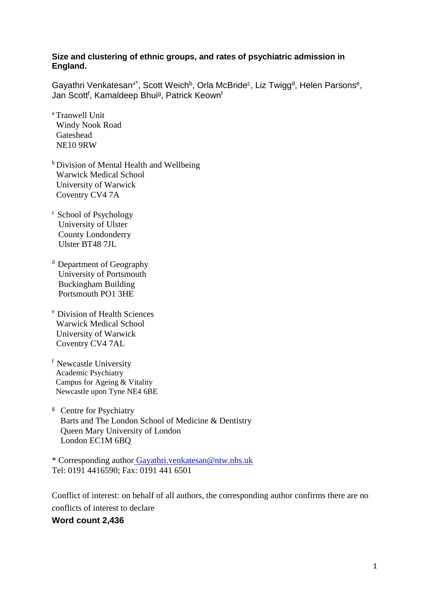### **Size and clustering of ethnic groups, and rates of psychiatric admission in England.**

Gayathri Venkatesan<sup>a\*</sup>, Scott Weich<sup>b</sup>, Orla McBride<sup>c</sup>, Liz Twigg<sup>d</sup>, Helen Parsons<sup>e</sup>, Jan Scott<sup>f</sup>, Kamaldeep Bhui<sup>g</sup>, Patrick Keown<sup>f</sup>

- <sup>a</sup> Tranwell Unit Windy Nook Road Gateshead NE10 9RW
- **b** Division of Mental Health and Wellbeing Warwick Medical School University of Warwick Coventry CV4 7A
- <sup>c</sup> School of Psychology University of Ulster County Londonderry Ulster BT48 7JL
- $d$  Department of Geography University of Portsmouth Buckingham Building Portsmouth PO1 3HE
- <sup>e</sup> Division of Health Sciences Warwick Medical School University of Warwick Coventry CV4 7AL
- <sup>f</sup> Newcastle University Academic Psychiatry Campus for Ageing & Vitality Newcastle upon Tyne NE4 6BE
- $g$  Centre for Psychiatry Barts and The London School of Medicine & Dentistry Queen Mary University of London London EC1M 6BQ

\* Corresponding author Gayathri.venkatesan@ntw.nhs.uk Tel: 0191 4416590; Fax: 0191 441 6501

Conflict of interest: on behalf of all authors, the corresponding author confirms there are no conflicts of interest to declare

# **Word count 2,436**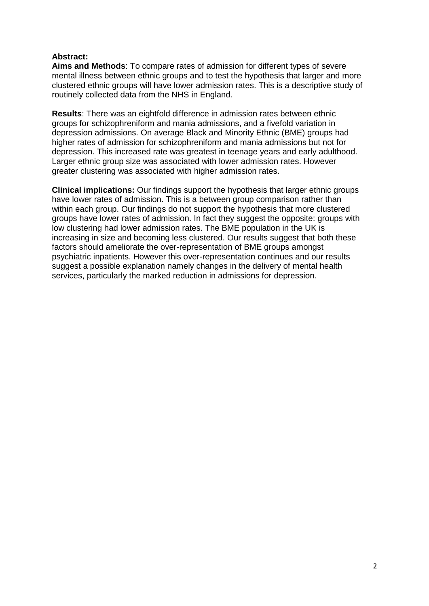### **Abstract:**

**Aims and Methods**: To compare rates of admission for different types of severe mental illness between ethnic groups and to test the hypothesis that larger and more clustered ethnic groups will have lower admission rates. This is a descriptive study of routinely collected data from the NHS in England.

**Results**: There was an eightfold difference in admission rates between ethnic groups for schizophreniform and mania admissions, and a fivefold variation in depression admissions. On average Black and Minority Ethnic (BME) groups had higher rates of admission for schizophreniform and mania admissions but not for depression. This increased rate was greatest in teenage years and early adulthood. Larger ethnic group size was associated with lower admission rates. However greater clustering was associated with higher admission rates.

**Clinical implications:** Our findings support the hypothesis that larger ethnic groups have lower rates of admission. This is a between group comparison rather than within each group. Our findings do not support the hypothesis that more clustered groups have lower rates of admission. In fact they suggest the opposite: groups with low clustering had lower admission rates. The BME population in the UK is increasing in size and becoming less clustered. Our results suggest that both these factors should ameliorate the over-representation of BME groups amongst psychiatric inpatients. However this over-representation continues and our results suggest a possible explanation namely changes in the delivery of mental health services, particularly the marked reduction in admissions for depression.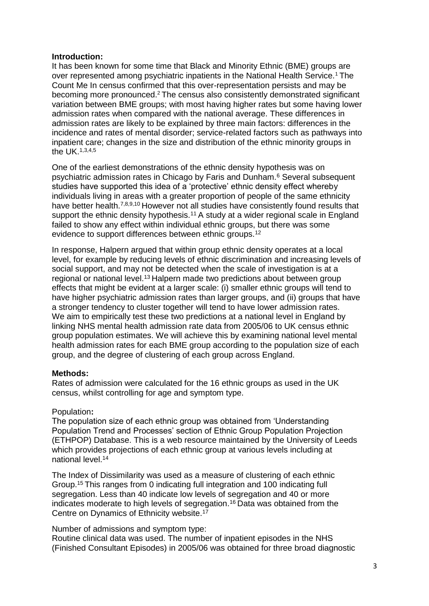#### **Introduction:**

It has been known for some time that Black and Minority Ethnic (BME) groups are over represented among psychiatric inpatients in the National Health Service.<sup>1</sup> The Count Me In census confirmed that this over-representation persists and may be becoming more pronounced.<sup>2</sup> The census also consistently demonstrated significant variation between BME groups; with most having higher rates but some having lower admission rates when compared with the national average. These differences in admission rates are likely to be explained by three main factors: differences in the incidence and rates of mental disorder; service-related factors such as pathways into inpatient care; changes in the size and distribution of the ethnic minority groups in the UK.1,3,4,5

One of the earliest demonstrations of the ethnic density hypothesis was on psychiatric admission rates in Chicago by Faris and Dunham.<sup>6</sup> Several subsequent studies have supported this idea of a 'protective' ethnic density effect whereby individuals living in areas with a greater proportion of people of the same ethnicity have better health.<sup>7,8,9,10</sup> However not all studies have consistently found results that support the ethnic density hypothesis.<sup>11</sup> A study at a wider regional scale in England failed to show any effect within individual ethnic groups, but there was some evidence to support differences between ethnic groups.<sup>12</sup>

In response, Halpern argued that within group ethnic density operates at a local level, for example by reducing levels of ethnic discrimination and increasing levels of social support, and may not be detected when the scale of investigation is at a regional or national level.<sup>13</sup> Halpern made two predictions about between group effects that might be evident at a larger scale: (i) smaller ethnic groups will tend to have higher psychiatric admission rates than larger groups, and (ii) groups that have a stronger tendency to cluster together will tend to have lower admission rates. We aim to empirically test these two predictions at a national level in England by linking NHS mental health admission rate data from 2005/06 to UK census ethnic group population estimates. We will achieve this by examining national level mental health admission rates for each BME group according to the population size of each group, and the degree of clustering of each group across England.

#### **Methods:**

Rates of admission were calculated for the 16 ethnic groups as used in the UK census, whilst controlling for age and symptom type.

#### Population**:**

The population size of each ethnic group was obtained from 'Understanding Population Trend and Processes' section of Ethnic Group Population Projection (ETHPOP) Database. This is a web resource maintained by the University of Leeds which provides projections of each ethnic group at various levels including at national level.<sup>14</sup>

The Index of Dissimilarity was used as a measure of clustering of each ethnic Group.<sup>15</sup> This ranges from 0 indicating full integration and 100 indicating full segregation. Less than 40 indicate low levels of segregation and 40 or more indicates moderate to high levels of segregation.<sup>16</sup> Data was obtained from the Centre on Dynamics of Ethnicity website.<sup>17</sup>

Number of admissions and symptom type:

Routine clinical data was used. The number of inpatient episodes in the NHS (Finished Consultant Episodes) in 2005/06 was obtained for three broad diagnostic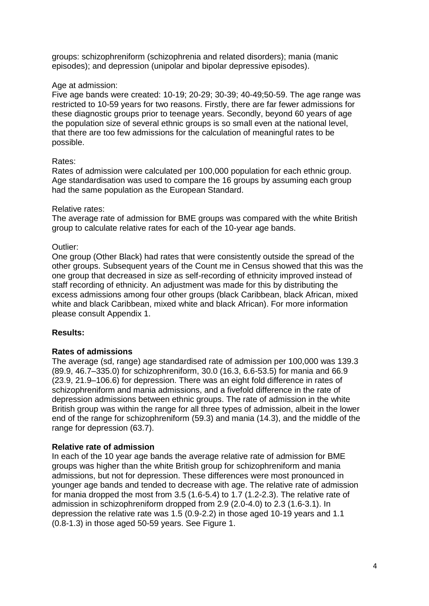groups: schizophreniform (schizophrenia and related disorders); mania (manic episodes); and depression (unipolar and bipolar depressive episodes).

### Age at admission:

Five age bands were created: 10-19; 20-29; 30-39; 40-49;50-59. The age range was restricted to 10-59 years for two reasons. Firstly, there are far fewer admissions for these diagnostic groups prior to teenage years. Secondly, beyond 60 years of age the population size of several ethnic groups is so small even at the national level, that there are too few admissions for the calculation of meaningful rates to be possible.

# Rates:

Rates of admission were calculated per 100,000 population for each ethnic group. Age standardisation was used to compare the 16 groups by assuming each group had the same population as the European Standard.

### Relative rates:

The average rate of admission for BME groups was compared with the white British group to calculate relative rates for each of the 10-year age bands.

### Outlier:

One group (Other Black) had rates that were consistently outside the spread of the other groups. Subsequent years of the Count me in Census showed that this was the one group that decreased in size as self-recording of ethnicity improved instead of staff recording of ethnicity. An adjustment was made for this by distributing the excess admissions among four other groups (black Caribbean, black African, mixed white and black Caribbean, mixed white and black African). For more information please consult Appendix 1.

# **Results:**

# **Rates of admissions**

The average (sd, range) age standardised rate of admission per 100,000 was 139.3 (89.9, 46.7–335.0) for schizophreniform, 30.0 (16.3, 6.6-53.5) for mania and 66.9 (23.9, 21.9–106.6) for depression. There was an eight fold difference in rates of schizophreniform and mania admissions, and a fivefold difference in the rate of depression admissions between ethnic groups. The rate of admission in the white British group was within the range for all three types of admission, albeit in the lower end of the range for schizophreniform (59.3) and mania (14.3), and the middle of the range for depression (63.7).

# **Relative rate of admission**

In each of the 10 year age bands the average relative rate of admission for BME groups was higher than the white British group for schizophreniform and mania admissions, but not for depression. These differences were most pronounced in younger age bands and tended to decrease with age. The relative rate of admission for mania dropped the most from 3.5 (1.6-5.4) to 1.7 (1.2-2.3). The relative rate of admission in schizophreniform dropped from 2.9 (2.0-4.0) to 2.3 (1.6-3.1). In depression the relative rate was 1.5 (0.9-2.2) in those aged 10-19 years and 1.1 (0.8-1.3) in those aged 50-59 years. See Figure 1.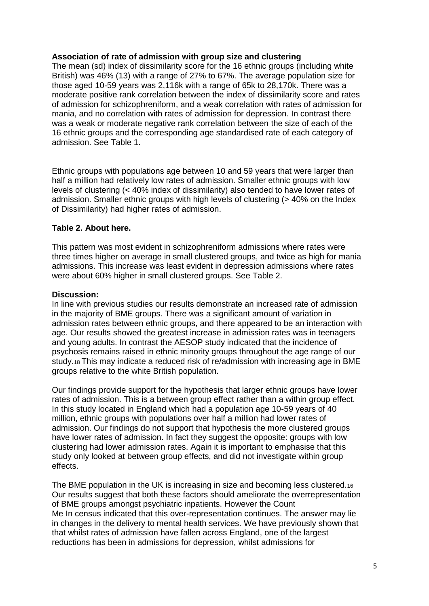### **Association of rate of admission with group size and clustering**

The mean (sd) index of dissimilarity score for the 16 ethnic groups (including white British) was 46% (13) with a range of 27% to 67%. The average population size for those aged 10-59 years was 2,116k with a range of 65k to 28,170k. There was a moderate positive rank correlation between the index of dissimilarity score and rates of admission for schizophreniform, and a weak correlation with rates of admission for mania, and no correlation with rates of admission for depression. In contrast there was a weak or moderate negative rank correlation between the size of each of the 16 ethnic groups and the corresponding age standardised rate of each category of admission. See Table 1.

Ethnic groups with populations age between 10 and 59 years that were larger than half a million had relatively low rates of admission. Smaller ethnic groups with low levels of clustering (< 40% index of dissimilarity) also tended to have lower rates of admission. Smaller ethnic groups with high levels of clustering (> 40% on the Index of Dissimilarity) had higher rates of admission.

# **Table 2. About here.**

This pattern was most evident in schizophreniform admissions where rates were three times higher on average in small clustered groups, and twice as high for mania admissions. This increase was least evident in depression admissions where rates were about 60% higher in small clustered groups. See Table 2.

### **Discussion:**

In line with previous studies our results demonstrate an increased rate of admission in the majority of BME groups. There was a significant amount of variation in admission rates between ethnic groups, and there appeared to be an interaction with age. Our results showed the greatest increase in admission rates was in teenagers and young adults. In contrast the AESOP study indicated that the incidence of psychosis remains raised in ethnic minority groups throughout the age range of our study.18 This may indicate a reduced risk of re/admission with increasing age in BME groups relative to the white British population.

Our findings provide support for the hypothesis that larger ethnic groups have lower rates of admission. This is a between group effect rather than a within group effect. In this study located in England which had a population age 10-59 years of 40 million, ethnic groups with populations over half a million had lower rates of admission. Our findings do not support that hypothesis the more clustered groups have lower rates of admission. In fact they suggest the opposite: groups with low clustering had lower admission rates. Again it is important to emphasise that this study only looked at between group effects, and did not investigate within group effects.

The BME population in the UK is increasing in size and becoming less clustered.<sup>16</sup> Our results suggest that both these factors should ameliorate the overrepresentation of BME groups amongst psychiatric inpatients. However the Count Me In census indicated that this over-representation continues. The answer may lie in changes in the delivery to mental health services. We have previously shown that that whilst rates of admission have fallen across England, one of the largest reductions has been in admissions for depression, whilst admissions for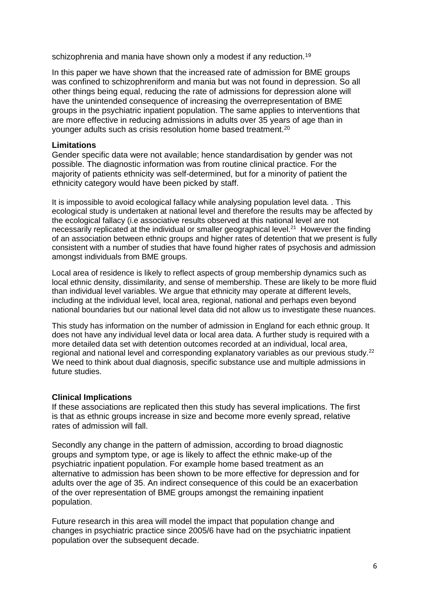schizophrenia and mania have shown only a modest if any reduction.<sup>19</sup>

In this paper we have shown that the increased rate of admission for BME groups was confined to schizophreniform and mania but was not found in depression. So all other things being equal, reducing the rate of admissions for depression alone will have the unintended consequence of increasing the overrepresentation of BME groups in the psychiatric inpatient population. The same applies to interventions that are more effective in reducing admissions in adults over 35 years of age than in younger adults such as crisis resolution home based treatment.<sup>20</sup>

#### **Limitations**

Gender specific data were not available; hence standardisation by gender was not possible. The diagnostic information was from routine clinical practice. For the majority of patients ethnicity was self-determined, but for a minority of patient the ethnicity category would have been picked by staff.

It is impossible to avoid ecological fallacy while analysing population level data. . This ecological study is undertaken at national level and therefore the results may be affected by the ecological fallacy (i.e associative results observed at this national level are not necessarily replicated at the individual or smaller geographical level.<sup>21</sup> However the finding of an association between ethnic groups and higher rates of detention that we present is fully consistent with a number of studies that have found higher rates of psychosis and admission amongst individuals from BME groups.

Local area of residence is likely to reflect aspects of group membership dynamics such as local ethnic density, dissimilarity, and sense of membership. These are likely to be more fluid than individual level variables. We argue that ethnicity may operate at different levels, including at the individual level, local area, regional, national and perhaps even beyond national boundaries but our national level data did not allow us to investigate these nuances.

This study has information on the number of admission in England for each ethnic group. It does not have any individual level data or local area data. A further study is required with a more detailed data set with detention outcomes recorded at an individual, local area, regional and national level and corresponding explanatory variables as our previous study.<sup>22</sup> We need to think about dual diagnosis, specific substance use and multiple admissions in future studies.

#### **Clinical Implications**

If these associations are replicated then this study has several implications. The first is that as ethnic groups increase in size and become more evenly spread, relative rates of admission will fall.

Secondly any change in the pattern of admission, according to broad diagnostic groups and symptom type, or age is likely to affect the ethnic make-up of the psychiatric inpatient population. For example home based treatment as an alternative to admission has been shown to be more effective for depression and for adults over the age of 35. An indirect consequence of this could be an exacerbation of the over representation of BME groups amongst the remaining inpatient population.

Future research in this area will model the impact that population change and changes in psychiatric practice since 2005/6 have had on the psychiatric inpatient population over the subsequent decade.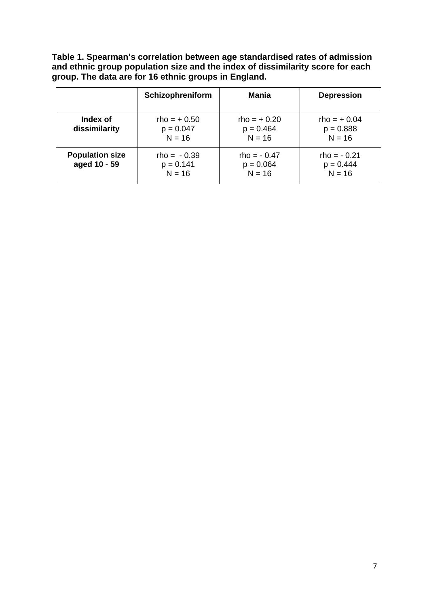**Table 1. Spearman's correlation between age standardised rates of admission and ethnic group population size and the index of dissimilarity score for each group. The data are for 16 ethnic groups in England.**

|                                        | Schizophreniform                         | Mania                                    | <b>Depression</b>                        |
|----------------------------------------|------------------------------------------|------------------------------------------|------------------------------------------|
| Index of<br>dissimilarity              | $rho = +0.50$<br>$p = 0.047$<br>$N = 16$ | $rho = +0.20$<br>$p = 0.464$<br>$N = 16$ | $rho = +0.04$<br>$p = 0.888$<br>$N = 16$ |
| <b>Population size</b><br>aged 10 - 59 | $rho = -0.39$<br>$p = 0.141$<br>$N = 16$ | $rho = -0.47$<br>$p = 0.064$<br>$N = 16$ | $rho = -0.21$<br>$p = 0.444$<br>$N = 16$ |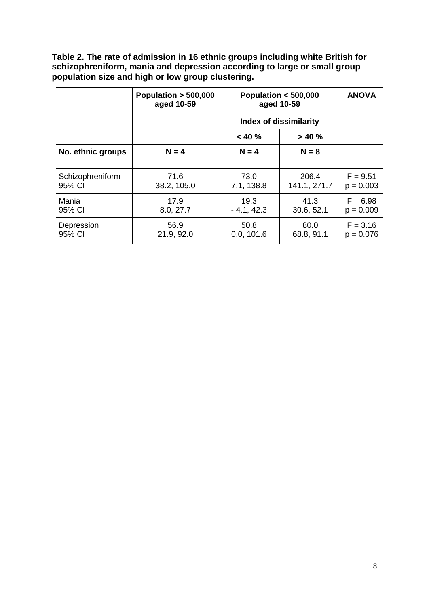**Table 2. The rate of admission in 16 ethnic groups including white British for schizophreniform, mania and depression according to large or small group population size and high or low group clustering.**

|                            | Population $> 500,000$<br>aged 10-59 | Population $<$ 500,000<br>aged 10-59 |                       | <b>ANOVA</b>              |
|----------------------------|--------------------------------------|--------------------------------------|-----------------------|---------------------------|
|                            |                                      | <b>Index of dissimilarity</b>        |                       |                           |
|                            |                                      | $< 40 \%$                            | > 40%                 |                           |
| No. ethnic groups          | $N = 4$                              | $N = 4$                              | $N = 8$               |                           |
| Schizophreniform<br>95% CI | 71.6<br>38.2, 105.0                  | 73.0<br>7.1, 138.8                   | 206.4<br>141.1, 271.7 | $F = 9.51$<br>$p = 0.003$ |
| Mania<br>95% CI            | 17.9<br>8.0, 27.7                    | 19.3<br>$-4.1, 42.3$                 | 41.3<br>30.6, 52.1    | $F = 6.98$<br>$p = 0.009$ |
| Depression<br>95% CI       | 56.9<br>21.9, 92.0                   | 50.8<br>0.0, 101.6                   | 80.0<br>68.8, 91.1    | $F = 3.16$<br>$p = 0.076$ |